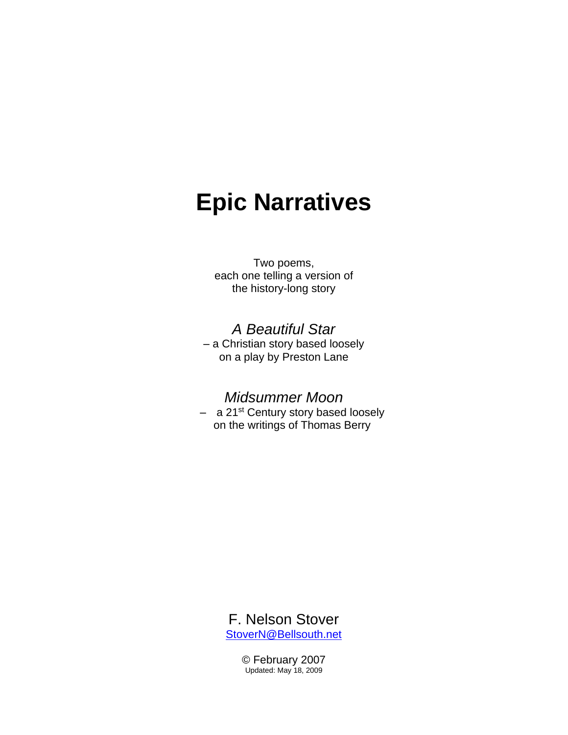# **Epic Narratives**

#### Two poems, each one telling a version of the history-long story

### *A Beautiful Star*

– a Christian story based loosely on a play by Preston Lane

#### *Midsummer Moon*

– a 21st Century story based loosely on the writings of Thomas Berry



© February 2007 Updated: May 18, 2009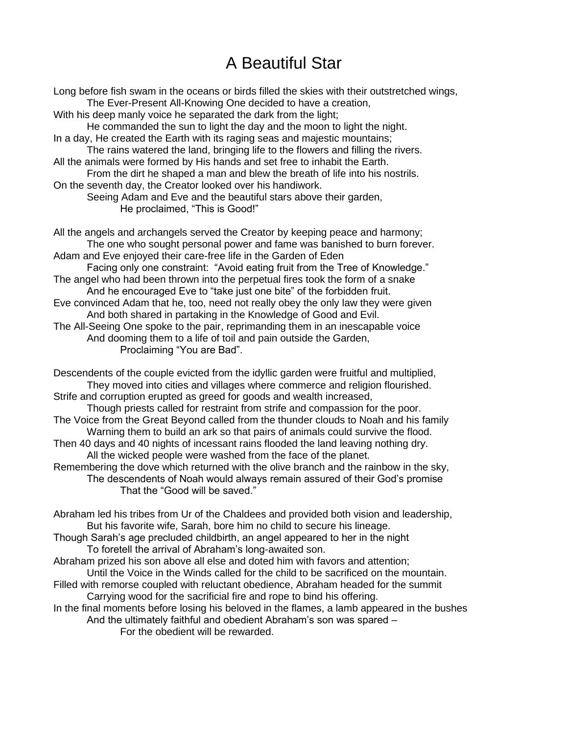## A Beautiful Star

Long before fish swam in the oceans or birds filled the skies with their outstretched wings, The Ever-Present All-Knowing One decided to have a creation, With his deep manly voice he separated the dark from the light; He commanded the sun to light the day and the moon to light the night. In a day, He created the Earth with its raging seas and majestic mountains; The rains watered the land, bringing life to the flowers and filling the rivers. All the animals were formed by His hands and set free to inhabit the Earth. From the dirt he shaped a man and blew the breath of life into his nostrils. On the seventh day, the Creator looked over his handiwork. Seeing Adam and Eve and the beautiful stars above their garden, He proclaimed, "This is Good!" All the angels and archangels served the Creator by keeping peace and harmony; The one who sought personal power and fame was banished to burn forever. Adam and Eve enjoyed their care-free life in the Garden of Eden Facing only one constraint: "Avoid eating fruit from the Tree of Knowledge." The angel who had been thrown into the perpetual fires took the form of a snake And he encouraged Eve to "take just one bite" of the forbidden fruit. Eve convinced Adam that he, too, need not really obey the only law they were given And both shared in partaking in the Knowledge of Good and Evil. The All-Seeing One spoke to the pair, reprimanding them in an inescapable voice And dooming them to a life of toil and pain outside the Garden, Proclaiming "You are Bad". Descendents of the couple evicted from the idyllic garden were fruitful and multiplied, They moved into cities and villages where commerce and religion flourished. Strife and corruption erupted as greed for goods and wealth increased, Though priests called for restraint from strife and compassion for the poor. The Voice from the Great Beyond called from the thunder clouds to Noah and his family Warning them to build an ark so that pairs of animals could survive the flood. Then 40 days and 40 nights of incessant rains flooded the land leaving nothing dry.

All the wicked people were washed from the face of the planet.

Remembering the dove which returned with the olive branch and the rainbow in the sky, The descendents of Noah would always remain assured of their God's promise That the "Good will be saved."

Abraham led his tribes from Ur of the Chaldees and provided both vision and leadership, But his favorite wife, Sarah, bore him no child to secure his lineage.

Though Sarah's age precluded childbirth, an angel appeared to her in the night To foretell the arrival of Abraham's long-awaited son.

Abraham prized his son above all else and doted him with favors and attention;

Until the Voice in the Winds called for the child to be sacrificed on the mountain.

Filled with remorse coupled with reluctant obedience, Abraham headed for the summit Carrying wood for the sacrificial fire and rope to bind his offering.

In the final moments before losing his beloved in the flames, a lamb appeared in the bushes And the ultimately faithful and obedient Abraham's son was spared –

For the obedient will be rewarded.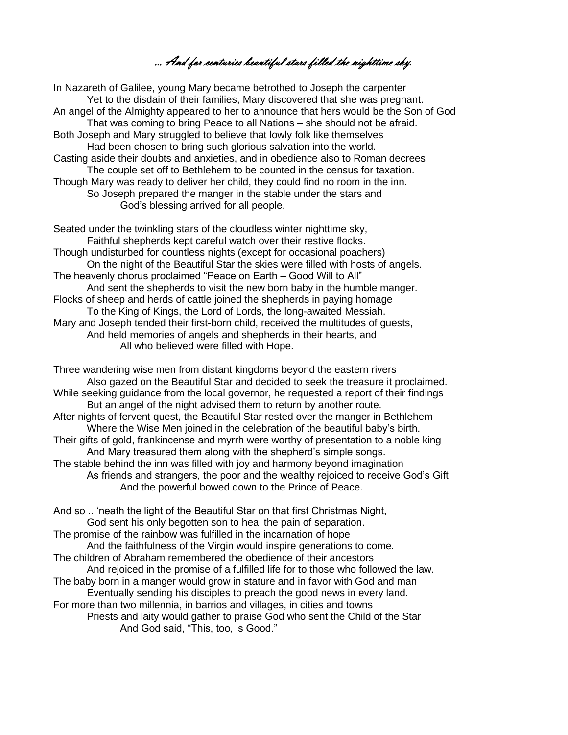… And for centuries beautiful stars filled the nighttime sky.

In Nazareth of Galilee, young Mary became betrothed to Joseph the carpenter Yet to the disdain of their families, Mary discovered that she was pregnant. An angel of the Almighty appeared to her to announce that hers would be the Son of God That was coming to bring Peace to all Nations – she should not be afraid. Both Joseph and Mary struggled to believe that lowly folk like themselves Had been chosen to bring such glorious salvation into the world. Casting aside their doubts and anxieties, and in obedience also to Roman decrees The couple set off to Bethlehem to be counted in the census for taxation. Though Mary was ready to deliver her child, they could find no room in the inn. So Joseph prepared the manger in the stable under the stars and God's blessing arrived for all people.

Seated under the twinkling stars of the cloudless winter nighttime sky, Faithful shepherds kept careful watch over their restive flocks. Though undisturbed for countless nights (except for occasional poachers) On the night of the Beautiful Star the skies were filled with hosts of angels. The heavenly chorus proclaimed "Peace on Earth – Good Will to All" And sent the shepherds to visit the new born baby in the humble manger. Flocks of sheep and herds of cattle joined the shepherds in paying homage To the King of Kings, the Lord of Lords, the long-awaited Messiah. Mary and Joseph tended their first-born child, received the multitudes of guests, And held memories of angels and shepherds in their hearts, and All who believed were filled with Hope.

Three wandering wise men from distant kingdoms beyond the eastern rivers Also gazed on the Beautiful Star and decided to seek the treasure it proclaimed. While seeking guidance from the local governor, he requested a report of their findings But an angel of the night advised them to return by another route. After nights of fervent quest, the Beautiful Star rested over the manger in Bethlehem Where the Wise Men joined in the celebration of the beautiful baby's birth. Their gifts of gold, frankincense and myrrh were worthy of presentation to a noble king And Mary treasured them along with the shepherd's simple songs. The stable behind the inn was filled with joy and harmony beyond imagination As friends and strangers, the poor and the wealthy rejoiced to receive God's Gift And the powerful bowed down to the Prince of Peace.

And so .. 'neath the light of the Beautiful Star on that first Christmas Night, God sent his only begotten son to heal the pain of separation. The promise of the rainbow was fulfilled in the incarnation of hope And the faithfulness of the Virgin would inspire generations to come. The children of Abraham remembered the obedience of their ancestors And rejoiced in the promise of a fulfilled life for to those who followed the law. The baby born in a manger would grow in stature and in favor with God and man Eventually sending his disciples to preach the good news in every land. For more than two millennia, in barrios and villages, in cities and towns Priests and laity would gather to praise God who sent the Child of the Star And God said, "This, too, is Good."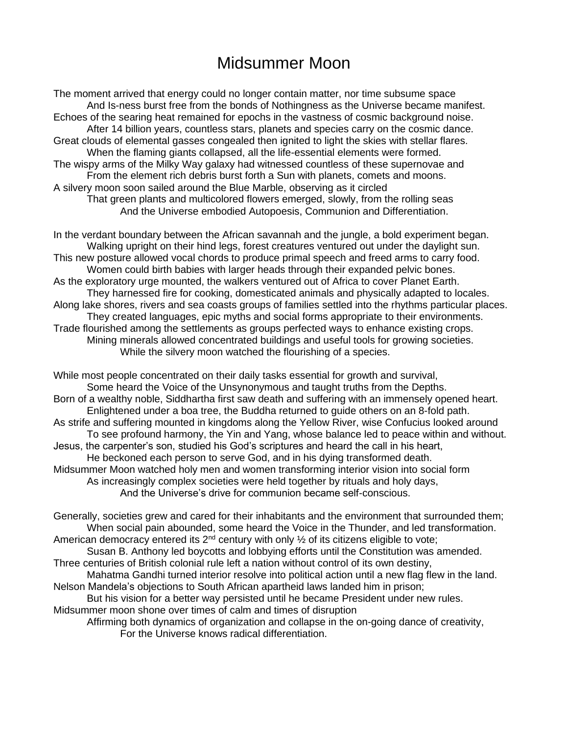## Midsummer Moon

The moment arrived that energy could no longer contain matter, nor time subsume space And Is-ness burst free from the bonds of Nothingness as the Universe became manifest. Echoes of the searing heat remained for epochs in the vastness of cosmic background noise. After 14 billion years, countless stars, planets and species carry on the cosmic dance. Great clouds of elemental gasses congealed then ignited to light the skies with stellar flares. When the flaming giants collapsed, all the life-essential elements were formed. The wispy arms of the Milky Way galaxy had witnessed countless of these supernovae and From the element rich debris burst forth a Sun with planets, comets and moons. A silvery moon soon sailed around the Blue Marble, observing as it circled That green plants and multicolored flowers emerged, slowly, from the rolling seas And the Universe embodied Autopoesis, Communion and Differentiation.

In the verdant boundary between the African savannah and the jungle, a bold experiment began. Walking upright on their hind legs, forest creatures ventured out under the daylight sun. This new posture allowed vocal chords to produce primal speech and freed arms to carry food. Women could birth babies with larger heads through their expanded pelvic bones. As the exploratory urge mounted, the walkers ventured out of Africa to cover Planet Earth. They harnessed fire for cooking, domesticated animals and physically adapted to locales. Along lake shores, rivers and sea coasts groups of families settled into the rhythms particular places. They created languages, epic myths and social forms appropriate to their environments. Trade flourished among the settlements as groups perfected ways to enhance existing crops. Mining minerals allowed concentrated buildings and useful tools for growing societies. While the silvery moon watched the flourishing of a species.

While most people concentrated on their daily tasks essential for growth and survival, Some heard the Voice of the Unsynonymous and taught truths from the Depths. Born of a wealthy noble, Siddhartha first saw death and suffering with an immensely opened heart. Enlightened under a boa tree, the Buddha returned to guide others on an 8-fold path. As strife and suffering mounted in kingdoms along the Yellow River, wise Confucius looked around To see profound harmony, the Yin and Yang, whose balance led to peace within and without. Jesus, the carpenter's son, studied his God's scriptures and heard the call in his heart, He beckoned each person to serve God, and in his dying transformed death. Midsummer Moon watched holy men and women transforming interior vision into social form As increasingly complex societies were held together by rituals and holy days, And the Universe's drive for communion became self-conscious.

Generally, societies grew and cared for their inhabitants and the environment that surrounded them; When social pain abounded, some heard the Voice in the Thunder, and led transformation. American democracy entered its  $2^{nd}$  century with only  $\frac{1}{2}$  of its citizens eligible to vote;

Susan B. Anthony led boycotts and lobbying efforts until the Constitution was amended. Three centuries of British colonial rule left a nation without control of its own destiny,

Mahatma Gandhi turned interior resolve into political action until a new flag flew in the land. Nelson Mandela's objections to South African apartheid laws landed him in prison;

But his vision for a better way persisted until he became President under new rules. Midsummer moon shone over times of calm and times of disruption

Affirming both dynamics of organization and collapse in the on-going dance of creativity, For the Universe knows radical differentiation.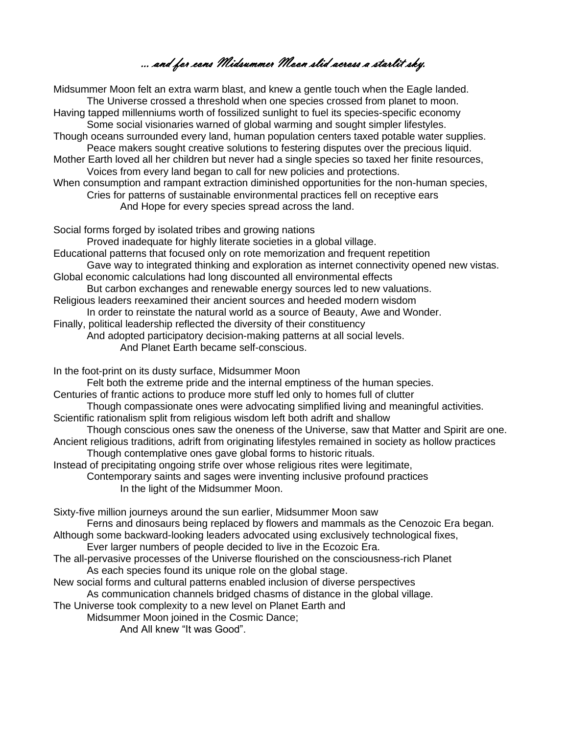… and for eons Midsummer Moon slid across a starlit sky.

Midsummer Moon felt an extra warm blast, and knew a gentle touch when the Eagle landed. The Universe crossed a threshold when one species crossed from planet to moon. Having tapped millenniums worth of fossilized sunlight to fuel its species-specific economy Some social visionaries warned of global warming and sought simpler lifestyles. Though oceans surrounded every land, human population centers taxed potable water supplies. Peace makers sought creative solutions to festering disputes over the precious liquid. Mother Earth loved all her children but never had a single species so taxed her finite resources, Voices from every land began to call for new policies and protections. When consumption and rampant extraction diminished opportunities for the non-human species, Cries for patterns of sustainable environmental practices fell on receptive ears And Hope for every species spread across the land.

Social forms forged by isolated tribes and growing nations

Proved inadequate for highly literate societies in a global village.

Educational patterns that focused only on rote memorization and frequent repetition

Gave way to integrated thinking and exploration as internet connectivity opened new vistas.

Global economic calculations had long discounted all environmental effects But carbon exchanges and renewable energy sources led to new valuations.

Religious leaders reexamined their ancient sources and heeded modern wisdom

In order to reinstate the natural world as a source of Beauty, Awe and Wonder.

Finally, political leadership reflected the diversity of their constituency

And adopted participatory decision-making patterns at all social levels.

And Planet Earth became self-conscious.

In the foot-print on its dusty surface, Midsummer Moon

Felt both the extreme pride and the internal emptiness of the human species.

Centuries of frantic actions to produce more stuff led only to homes full of clutter

Though compassionate ones were advocating simplified living and meaningful activities. Scientific rationalism split from religious wisdom left both adrift and shallow

Though conscious ones saw the oneness of the Universe, saw that Matter and Spirit are one. Ancient religious traditions, adrift from originating lifestyles remained in society as hollow practices

Though contemplative ones gave global forms to historic rituals.

Instead of precipitating ongoing strife over whose religious rites were legitimate,

Contemporary saints and sages were inventing inclusive profound practices In the light of the Midsummer Moon.

Sixty-five million journeys around the sun earlier, Midsummer Moon saw

Ferns and dinosaurs being replaced by flowers and mammals as the Cenozoic Era began.

Although some backward-looking leaders advocated using exclusively technological fixes, Ever larger numbers of people decided to live in the Ecozoic Era.

The all-pervasive processes of the Universe flourished on the consciousness-rich Planet As each species found its unique role on the global stage.

New social forms and cultural patterns enabled inclusion of diverse perspectives As communication channels bridged chasms of distance in the global village.

The Universe took complexity to a new level on Planet Earth and

Midsummer Moon joined in the Cosmic Dance;

And All knew "It was Good".